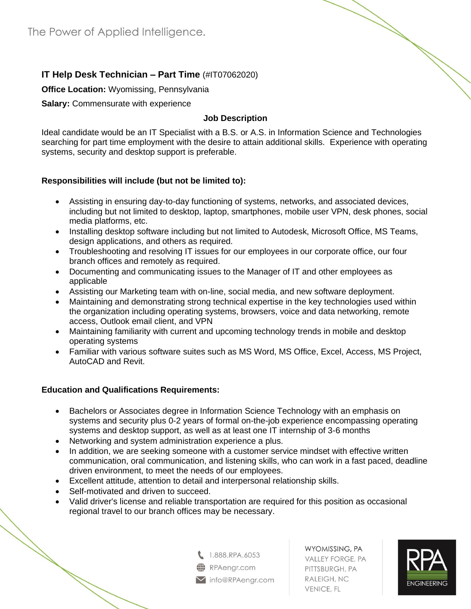# **IT Help Desk Technician – Part Time** (#IT07062020)

#### **Office Location:** Wyomissing, Pennsylvania

**Salary:** Commensurate with experience

### **Job Description**

Ideal candidate would be an IT Specialist with a B.S. or A.S. in Information Science and Technologies searching for part time employment with the desire to attain additional skills. Experience with operating systems, security and desktop support is preferable.

## **Responsibilities will include (but not be limited to):**

- Assisting in ensuring day-to-day functioning of systems, networks, and associated devices, including but not limited to desktop, laptop, smartphones, mobile user VPN, desk phones, social media platforms, etc.
- Installing desktop software including but not limited to Autodesk, Microsoft Office, MS Teams, design applications, and others as required.
- Troubleshooting and resolving IT issues for our employees in our corporate office, our four branch offices and remotely as required.
- Documenting and communicating issues to the Manager of IT and other employees as applicable
- Assisting our Marketing team with on-line, social media, and new software deployment.
- Maintaining and demonstrating strong technical expertise in the key technologies used within the organization including operating systems, browsers, voice and data networking, remote access, Outlook email client, and VPN
- Maintaining familiarity with current and upcoming technology trends in mobile and desktop operating systems
- Familiar with various software suites such as MS Word, MS Office, Excel, Access, MS Project, AutoCAD and Revit.

## **Education and Qualifications Requirements:**

- Bachelors or Associates degree in Information Science Technology with an emphasis on systems and security plus 0-2 years of formal on-the-job experience encompassing operating systems and desktop support, as well as at least one IT internship of 3-6 months
- Networking and system administration experience a plus.
- In addition, we are seeking someone with a customer service mindset with effective written communication, oral communication, and listening skills, who can work in a fast paced, deadline driven environment, to meet the needs of our employees.
- Excellent attitude, attention to detail and interpersonal relationship skills.
- Self-motivated and driven to succeed.
- Valid driver's license and reliable transportation are required for this position as occasional regional travel to our branch offices may be necessary.



WYOMISSING, PA **VALLEY FORGE, PA** PITTSBURGH, PA RALEIGH, NC **VENICE, FL**